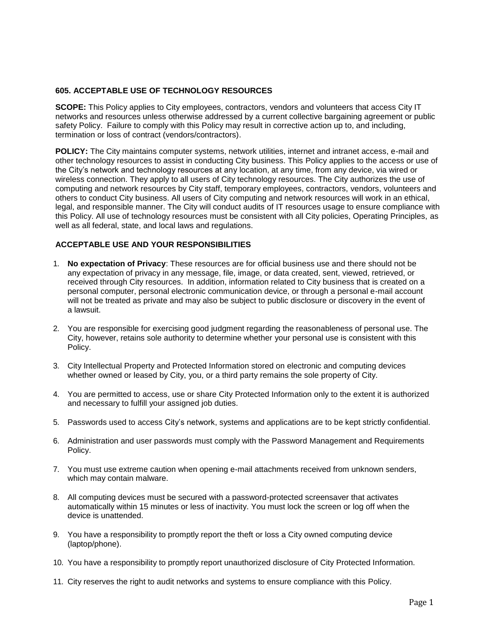# **605. ACCEPTABLE USE OF TECHNOLOGY RESOURCES**

**SCOPE:** This Policy applies to City employees, contractors, vendors and volunteers that access City IT networks and resources unless otherwise addressed by a current collective bargaining agreement or public safety Policy. Failure to comply with this Policy may result in corrective action up to, and including, termination or loss of contract (vendors/contractors).

**POLICY:** The City maintains computer systems, network utilities, internet and intranet access, e-mail and other technology resources to assist in conducting City business. This Policy applies to the access or use of the City's network and technology resources at any location, at any time, from any device, via wired or wireless connection. They apply to all users of City technology resources. The City authorizes the use of computing and network resources by City staff, temporary employees, contractors, vendors, volunteers and others to conduct City business. All users of City computing and network resources will work in an ethical, legal, and responsible manner. The City will conduct audits of IT resources usage to ensure compliance with this Policy. All use of technology resources must be consistent with all City policies, Operating Principles, as well as all federal, state, and local laws and regulations.

## **ACCEPTABLE USE AND YOUR RESPONSIBILITIES**

- 1. **No expectation of Privacy**: These resources are for official business use and there should not be any expectation of privacy in any message, file, image, or data created, sent, viewed, retrieved, or received through City resources. In addition, information related to City business that is created on a personal computer, personal electronic communication device, or through a personal e-mail account will not be treated as private and may also be subject to public disclosure or discovery in the event of a lawsuit.
- 2. You are responsible for exercising good judgment regarding the reasonableness of personal use. The City, however, retains sole authority to determine whether your personal use is consistent with this Policy.
- 3. City Intellectual Property and Protected Information stored on electronic and computing devices whether owned or leased by City, you, or a third party remains the sole property of City.
- 4. You are permitted to access, use or share City Protected Information only to the extent it is authorized and necessary to fulfill your assigned job duties.
- 5. Passwords used to access City's network, systems and applications are to be kept strictly confidential.
- 6. Administration and user passwords must comply with the Password Management and Requirements Policy.
- 7. You must use extreme caution when opening e-mail attachments received from unknown senders, which may contain malware.
- 8. All computing devices must be secured with a password-protected screensaver that activates automatically within 15 minutes or less of inactivity. You must lock the screen or log off when the device is unattended.
- 9. You have a responsibility to promptly report the theft or loss a City owned computing device (laptop/phone).
- 10. You have a responsibility to promptly report unauthorized disclosure of City Protected Information.
- 11. City reserves the right to audit networks and systems to ensure compliance with this Policy.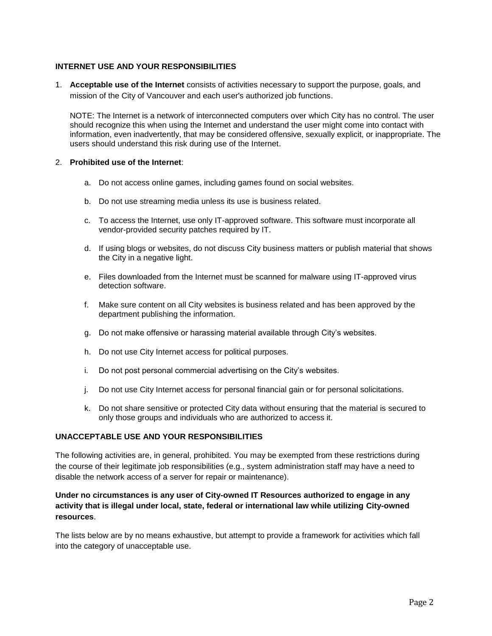# **INTERNET USE AND YOUR RESPONSIBILITIES**

1. **Acceptable use of the Internet** consists of activities necessary to support the purpose, goals, and mission of the City of Vancouver and each user's authorized job functions.

NOTE: The Internet is a network of interconnected computers over which City has no control. The user should recognize this when using the Internet and understand the user might come into contact with information, even inadvertently, that may be considered offensive, sexually explicit, or inappropriate. The users should understand this risk during use of the Internet.

#### 2. **Prohibited use of the Internet**:

- a. Do not access online games, including games found on social websites.
- b. Do not use streaming media unless its use is business related.
- c. To access the Internet, use only IT-approved software. This software must incorporate all vendor-provided security patches required by IT.
- d. If using blogs or websites, do not discuss City business matters or publish material that shows the City in a negative light.
- e. Files downloaded from the Internet must be scanned for malware using IT-approved virus detection software.
- f. Make sure content on all City websites is business related and has been approved by the department publishing the information.
- g. Do not make offensive or harassing material available through City's websites.
- h. Do not use City Internet access for political purposes.
- i. Do not post personal commercial advertising on the City's websites.
- j. Do not use City Internet access for personal financial gain or for personal solicitations.
- k. Do not share sensitive or protected City data without ensuring that the material is secured to only those groups and individuals who are authorized to access it.

# **UNACCEPTABLE USE AND YOUR RESPONSIBILITIES**

The following activities are, in general, prohibited. You may be exempted from these restrictions during the course of their legitimate job responsibilities (e.g., system administration staff may have a need to disable the network access of a server for repair or maintenance).

# **Under no circumstances is any user of City-owned IT Resources authorized to engage in any activity that is illegal under local, state, federal or international law while utilizing City-owned resources**.

The lists below are by no means exhaustive, but attempt to provide a framework for activities which fall into the category of unacceptable use.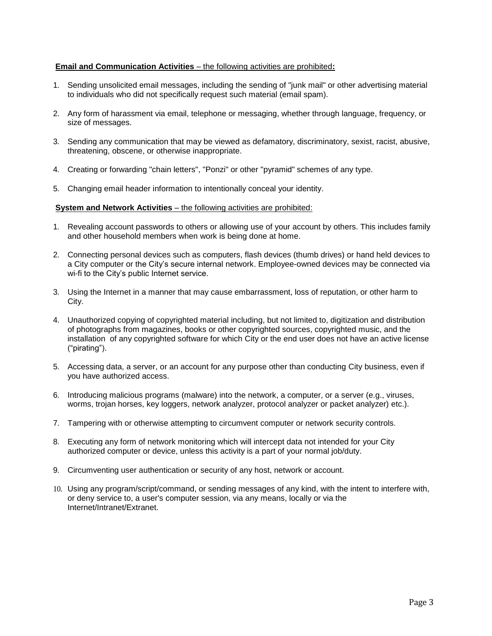## **Email and Communication Activities** – the following activities are prohibited**:**

- 1. Sending unsolicited email messages, including the sending of "junk mail" or other advertising material to individuals who did not specifically request such material (email spam).
- 2. Any form of harassment via email, telephone or messaging, whether through language, frequency, or size of messages.
- 3. Sending any communication that may be viewed as defamatory, discriminatory, sexist, racist, abusive, threatening, obscene, or otherwise inappropriate.
- 4. Creating or forwarding "chain letters", "Ponzi" or other "pyramid" schemes of any type.
- 5. Changing email header information to intentionally conceal your identity.

## **System and Network Activities** – the following activities are prohibited:

- 1. Revealing account passwords to others or allowing use of your account by others. This includes family and other household members when work is being done at home.
- 2. Connecting personal devices such as computers, flash devices (thumb drives) or hand held devices to a City computer or the City's secure internal network. Employee-owned devices may be connected via wi-fi to the City's public Internet service.
- 3. Using the Internet in a manner that may cause embarrassment, loss of reputation, or other harm to City.
- 4. Unauthorized copying of copyrighted material including, but not limited to, digitization and distribution of photographs from magazines, books or other copyrighted sources, copyrighted music, and the installation of any copyrighted software for which City or the end user does not have an active license ("pirating").
- 5. Accessing data, a server, or an account for any purpose other than conducting City business, even if you have authorized access.
- 6. Introducing malicious programs (malware) into the network, a computer, or a server (e.g., viruses, worms, trojan horses, key loggers, network analyzer, protocol analyzer or packet analyzer) etc.).
- 7. Tampering with or otherwise attempting to circumvent computer or network security controls.
- 8. Executing any form of network monitoring which will intercept data not intended for your City authorized computer or device, unless this activity is a part of your normal job/duty.
- 9. Circumventing user authentication or security of any host, network or account.
- 10. Using any program/script/command, or sending messages of any kind, with the intent to interfere with, or deny service to, a user's computer session, via any means, locally or via the Internet/Intranet/Extranet.